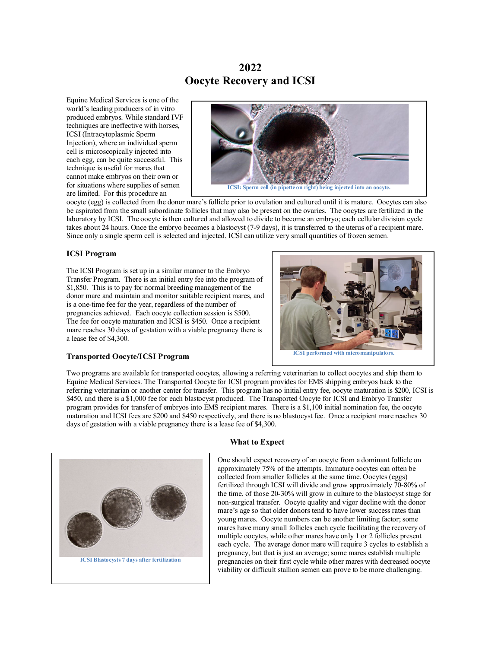# **2022 Oocyte Recovery and ICSI**

Equine Medical Services is one of the world's leading producers of in vitro produced embryos. While standard IVF techniques are ineffective with horses, ICSI (Intracytoplasmic Sperm Injection), where an individual sperm cell is microscopically injected into each egg, can be quite successful. This technique is useful for mares that cannot make embryos on their own or for situations where supplies of semen are limited. For this procedure an



oocyte (egg) is collected from the donor mare's follicle prior to ovulation and cultured until it is mature. Oocytes can also be aspirated from the small subordinate follicles that may also be present on the ovaries. The oocytes are fertilized in the laboratory by ICSI. The oocyte is then cultured and allowed to divide to become an embryo; each cellular division cycle takes about 24 hours. Once the embryo becomes a blastocyst (7-9 days), it is transferred to the uterus of a recipient mare. Since only a single sperm cell is selected and injected, ICSI can utilize very small quantities of frozen semen.

## **ICSI Program**

The ICSI Program is set up in a similar manner to the Embryo Transfer Program. There is an initial entry fee into the program of \$1,850. This is to pay for normal breeding management of the donor mare and maintain and monitor suitable recipient mares, and is a one-time fee for the year, regardless of the number of pregnancies achieved. Each oocyte collection session is \$500. The fee for oocyte maturation and ICSI is \$450. Once a recipient mare reaches 30 days of gestation with a viable pregnancy there is a lease fee of \$4,300.



### **Transported Oocyte/ICSI Program**

Two programs are available for transported oocytes, allowing a referring veterinarian to collect oocytes and ship them to Equine Medical Services. The Transported Oocyte for ICSI program provides for EMS shipping embryos back to the referring veterinarian or another center for transfer. This program has no initial entry fee, oocyte maturation is \$200, ICSI is \$450, and there is a \$1,000 fee for each blastocyst produced. The Transported Oocyte for ICSI and Embryo Transfer program provides for transfer of embryos into EMS recipient mares. There is a \$1,100 initial nomination fee, the oocyte maturation and ICSI fees are \$200 and \$450 respectively, and there is no blastocyst fee. Once a recipient mare reaches 30 days of gestation with a viable pregnancy there is a lease fee of \$4,300.



#### **What to Expect**

One should expect recovery of an oocyte from a dominant follicle on approximately 75% of the attempts. Immature oocytes can often be collected from smaller follicles at the same time. Oocytes (eggs) fertilized through ICSI will divide and grow approximately 70-80% of the time, of those 20-30% will grow in culture to the blastocyst stage for non-surgical transfer. Oocyte quality and vigor decline with the donor mare's age so that older donors tend to have lower success rates than young mares. Oocyte numbers can be another limiting factor; some mares have many small follicles each cycle facilitating the recovery of multiple oocytes, while other mares have only 1 or 2 follicles present each cycle. The average donor mare will require 3 cycles to establish a pregnancy, but that is just an average; some mares establish multiple pregnancies on their first cycle while other mares with decreased oocyte viability or difficult stallion semen can prove to be more challenging.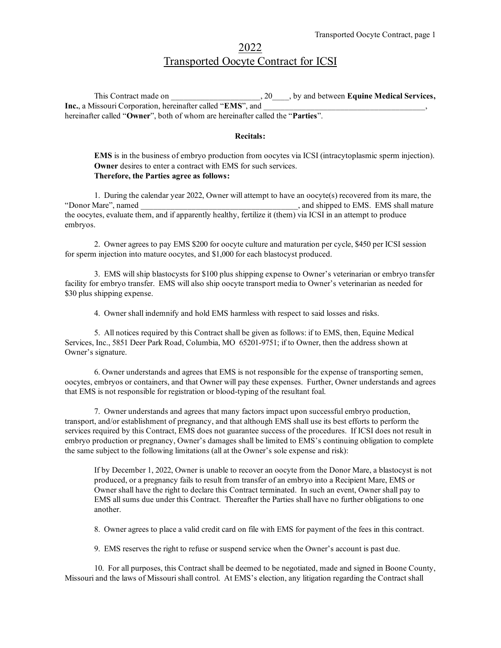## 2022 Transported Oocyte Contract for ICSI

This Contract made on  $\qquad \qquad$   $\qquad \qquad$   $\qquad \qquad$   $\qquad$   $\qquad$   $\qquad$   $\qquad$   $\qquad$   $\qquad$   $\qquad$   $\qquad$   $\qquad$   $\qquad$   $\qquad$   $\qquad$   $\qquad$   $\qquad$   $\qquad$   $\qquad$   $\qquad$   $\qquad$   $\qquad$   $\qquad$   $\qquad$   $\qquad$   $\qquad$   $\qquad$   $\qquad$   $\qquad$   $\qquad$   $\qquad$   $\qquad$ Inc., a Missouri Corporation, hereinafter called "EMS", and hereinafter called "**Owner**", both of whom are hereinafter called the "**Parties**".

## **Recitals:**

**EMS** is in the business of embryo production from oocytes via ICSI (intracytoplasmic sperm injection). **Owner** desires to enter a contract with EMS for such services. **Therefore, the Parties agree as follows:**

 1. During the calendar year 2022, Owner will attempt to have an oocyte(s) recovered from its mare, the "Donor Mare", named example and shipped to EMS. EMS shall mature  $\sim$ , and shipped to EMS. EMS shall mature the oocytes, evaluate them, and if apparently healthy, fertilize it (them) via ICSI in an attempt to produce embryos.

2. Owner agrees to pay EMS \$200 for oocyte culture and maturation per cycle, \$450 per ICSI session for sperm injection into mature oocytes, and \$1,000 for each blastocyst produced.

3. EMS will ship blastocysts for \$100 plus shipping expense to Owner's veterinarian or embryo transfer facility for embryo transfer. EMS will also ship oocyte transport media to Owner's veterinarian as needed for \$30 plus shipping expense.

4. Owner shall indemnify and hold EMS harmless with respect to said losses and risks.

5. All notices required by this Contract shall be given as follows: if to EMS, then, Equine Medical Services, Inc., 5851 Deer Park Road, Columbia, MO 65201-9751; if to Owner, then the address shown at Owner's signature.

6. Owner understands and agrees that EMS is not responsible for the expense of transporting semen, oocytes, embryos or containers, and that Owner will pay these expenses. Further, Owner understands and agrees that EMS is not responsible for registration or blood-typing of the resultant foal.

7. Owner understands and agrees that many factors impact upon successful embryo production, transport, and/or establishment of pregnancy, and that although EMS shall use its best efforts to perform the services required by this Contract, EMS does not guarantee success of the procedures. If ICSI does not result in embryo production or pregnancy, Owner's damages shall be limited to EMS's continuing obligation to complete the same subject to the following limitations (all at the Owner's sole expense and risk):

If by December 1, 2022, Owner is unable to recover an oocyte from the Donor Mare, a blastocyst is not produced, or a pregnancy fails to result from transfer of an embryo into a Recipient Mare, EMS or Owner shall have the right to declare this Contract terminated. In such an event, Owner shall pay to EMS all sums due under this Contract. Thereafter the Parties shall have no further obligations to one another.

8. Owner agrees to place a valid credit card on file with EMS for payment of the fees in this contract.

9. EMS reserves the right to refuse or suspend service when the Owner's account is past due.

10. For all purposes, this Contract shall be deemed to be negotiated, made and signed in Boone County, Missouri and the laws of Missouri shall control. At EMS's election, any litigation regarding the Contract shall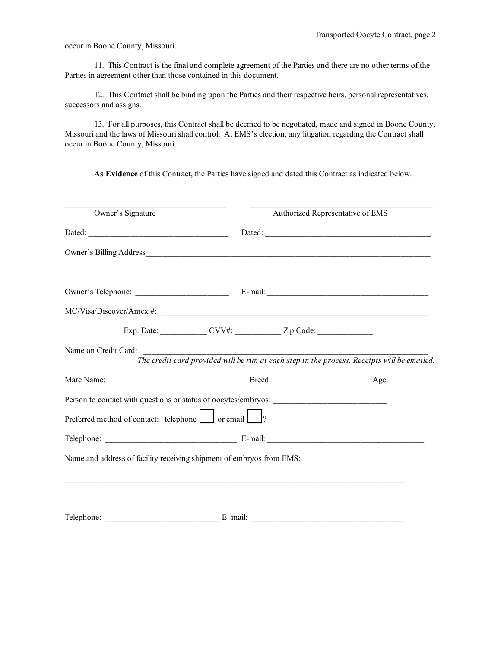occur in Boone County, Missouri.

11. This Contract is the final and complete agreement of the Parties and there are no other terms of the Parties in agreement other than those contained in this document.

12. This Contract shall be binding upon the Parties and their respective heirs, personal representatives, successors and assigns.

13. For all purposes, this Contract shall be deemed to be negotiated, made and signed in Boone County, Missouri and the laws of Missouri shall control. At EMS's election, any litigation regarding the Contract shall occur in Boone County, Missouri.

**As Evidence** of this Contract, the Parties have signed and dated this Contract as indicated below.

| Owner's Signature                                               |                                                                                                                                                           | Authorized Representative of EMS |
|-----------------------------------------------------------------|-----------------------------------------------------------------------------------------------------------------------------------------------------------|----------------------------------|
|                                                                 |                                                                                                                                                           |                                  |
|                                                                 |                                                                                                                                                           |                                  |
|                                                                 |                                                                                                                                                           |                                  |
|                                                                 |                                                                                                                                                           |                                  |
|                                                                 | Exp. Date: _______________CVV#: ______________Zip Code: ________________________                                                                          |                                  |
| Name on Credit Card:                                            | The credit card provided will be run at each step in the process. Receipts will be emailed.                                                               |                                  |
|                                                                 |                                                                                                                                                           |                                  |
|                                                                 |                                                                                                                                                           |                                  |
| Preferred method of contact: telephone $\Box$ or email $\Box$ ? |                                                                                                                                                           |                                  |
|                                                                 |                                                                                                                                                           |                                  |
|                                                                 | Name and address of facility receiving shipment of embryos from EMS:<br>,我们也不能会有什么。""我们的人,我们也不能会有什么?""我们的人,我们也不能会有什么?""我们的人,我们也不能会有什么?""我们的人,我们也不能会有什么?"" |                                  |
|                                                                 |                                                                                                                                                           |                                  |
|                                                                 | Telephone: E-mail: E-mail:                                                                                                                                |                                  |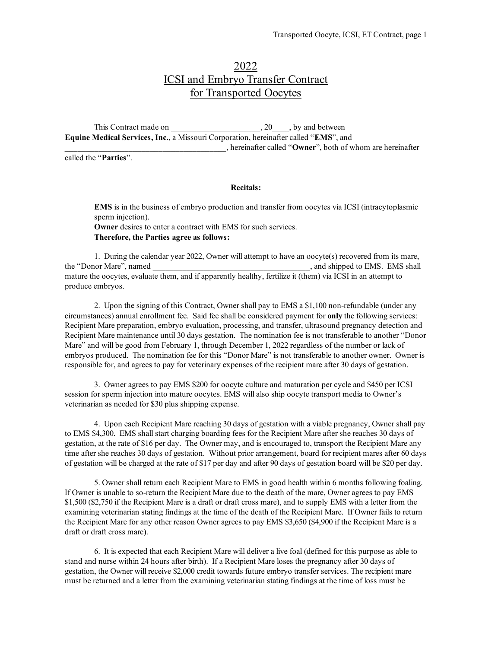# 2022 ICSI and Embryo Transfer Contract for Transported Oocytes

This Contract made on  $\hspace{1cm}$ , 20, by and between **Equine Medical Services, Inc.**, a Missouri Corporation, hereinafter called "**EMS**", and \_\_\_\_\_\_\_\_\_\_\_\_\_\_\_\_\_\_\_\_\_\_\_\_\_\_\_\_\_\_\_\_\_\_\_\_\_\_, hereinafter called "**Owner**", both of whom are hereinafter

called the "**Parties**".

### **Recitals:**

**EMS** is in the business of embryo production and transfer from oocytes via ICSI (intracytoplasmic sperm injection).

**Owner** desires to enter a contract with EMS for such services. **Therefore, the Parties agree as follows:**

 1. During the calendar year 2022, Owner will attempt to have an oocyte(s) recovered from its mare, the "Donor Mare", named example and shipped to EMS. EMS shall mature the oocytes, evaluate them, and if apparently healthy, fertilize it (them) via ICSI in an attempt to produce embryos.

2. Upon the signing of this Contract, Owner shall pay to EMS a \$1,100 non-refundable (under any circumstances) annual enrollment fee. Said fee shall be considered payment for **only** the following services: Recipient Mare preparation, embryo evaluation, processing, and transfer, ultrasound pregnancy detection and Recipient Mare maintenance until 30 days gestation. The nomination fee is not transferable to another "Donor Mare" and will be good from February 1, through December 1, 2022 regardless of the number or lack of embryos produced. The nomination fee for this "Donor Mare" is not transferable to another owner. Owner is responsible for, and agrees to pay for veterinary expenses of the recipient mare after 30 days of gestation.

3. Owner agrees to pay EMS \$200 for oocyte culture and maturation per cycle and \$450 per ICSI session for sperm injection into mature oocytes. EMS will also ship oocyte transport media to Owner's veterinarian as needed for \$30 plus shipping expense.

4. Upon each Recipient Mare reaching 30 days of gestation with a viable pregnancy, Owner shall pay to EMS \$4,300. EMS shall start charging boarding fees for the Recipient Mare after she reaches 30 days of gestation, at the rate of \$16 per day. The Owner may, and is encouraged to, transport the Recipient Mare any time after she reaches 30 days of gestation. Without prior arrangement, board for recipient mares after 60 days of gestation will be charged at the rate of \$17 per day and after 90 days of gestation board will be \$20 per day.

5. Owner shall return each Recipient Mare to EMS in good health within 6 months following foaling. If Owner is unable to so-return the Recipient Mare due to the death of the mare, Owner agrees to pay EMS \$1,500 (\$2,750 if the Recipient Mare is a draft or draft cross mare), and to supply EMS with a letter from the examining veterinarian stating findings at the time of the death of the Recipient Mare. If Owner fails to return the Recipient Mare for any other reason Owner agrees to pay EMS \$3,650 (\$4,900 if the Recipient Mare is a draft or draft cross mare).

6. It is expected that each Recipient Mare will deliver a live foal (defined for this purpose as able to stand and nurse within 24 hours after birth). If a Recipient Mare loses the pregnancy after 30 days of gestation, the Owner will receive \$2,000 credit towards future embryo transfer services. The recipient mare must be returned and a letter from the examining veterinarian stating findings at the time of loss must be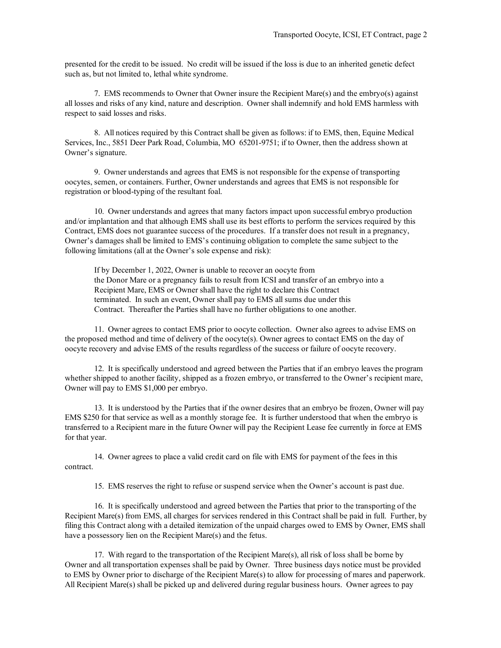presented for the credit to be issued. No credit will be issued if the loss is due to an inherited genetic defect such as, but not limited to, lethal white syndrome.

7. EMS recommends to Owner that Owner insure the Recipient Mare(s) and the embryo(s) against all losses and risks of any kind, nature and description. Owner shall indemnify and hold EMS harmless with respect to said losses and risks.

 8. All notices required by this Contract shall be given as follows: if to EMS, then, Equine Medical Services, Inc., 5851 Deer Park Road, Columbia, MO 65201-9751; if to Owner, then the address shown at Owner's signature.

9. Owner understands and agrees that EMS is not responsible for the expense of transporting oocytes, semen, or containers. Further, Owner understands and agrees that EMS is not responsible for registration or blood-typing of the resultant foal.

10. Owner understands and agrees that many factors impact upon successful embryo production and/or implantation and that although EMS shall use its best efforts to perform the services required by this Contract, EMS does not guarantee success of the procedures. If a transfer does not result in a pregnancy, Owner's damages shall be limited to EMS's continuing obligation to complete the same subject to the following limitations (all at the Owner's sole expense and risk):

If by December 1, 2022, Owner is unable to recover an oocyte from the Donor Mare or a pregnancy fails to result from ICSI and transfer of an embryo into a Recipient Mare, EMS or Owner shall have the right to declare this Contract terminated. In such an event, Owner shall pay to EMS all sums due under this Contract. Thereafter the Parties shall have no further obligations to one another.

11. Owner agrees to contact EMS prior to oocyte collection. Owner also agrees to advise EMS on the proposed method and time of delivery of the oocyte(s). Owner agrees to contact EMS on the day of oocyte recovery and advise EMS of the results regardless of the success or failure of oocyte recovery.

12. It is specifically understood and agreed between the Parties that if an embryo leaves the program whether shipped to another facility, shipped as a frozen embryo, or transferred to the Owner's recipient mare, Owner will pay to EMS \$1,000 per embryo.

13. It is understood by the Parties that if the owner desires that an embryo be frozen, Owner will pay EMS \$250 for that service as well as a monthly storage fee. It is further understood that when the embryo is transferred to a Recipient mare in the future Owner will pay the Recipient Lease fee currently in force at EMS for that year.

14. Owner agrees to place a valid credit card on file with EMS for payment of the fees in this contract.

15. EMS reserves the right to refuse or suspend service when the Owner's account is past due.

16. It is specifically understood and agreed between the Parties that prior to the transporting of the Recipient Mare(s) from EMS, all charges for services rendered in this Contract shall be paid in full. Further, by filing this Contract along with a detailed itemization of the unpaid charges owed to EMS by Owner, EMS shall have a possessory lien on the Recipient Mare(s) and the fetus.

17. With regard to the transportation of the Recipient Mare(s), all risk of loss shall be borne by Owner and all transportation expenses shall be paid by Owner. Three business days notice must be provided to EMS by Owner prior to discharge of the Recipient Mare(s) to allow for processing of mares and paperwork. All Recipient Mare(s) shall be picked up and delivered during regular business hours. Owner agrees to pay